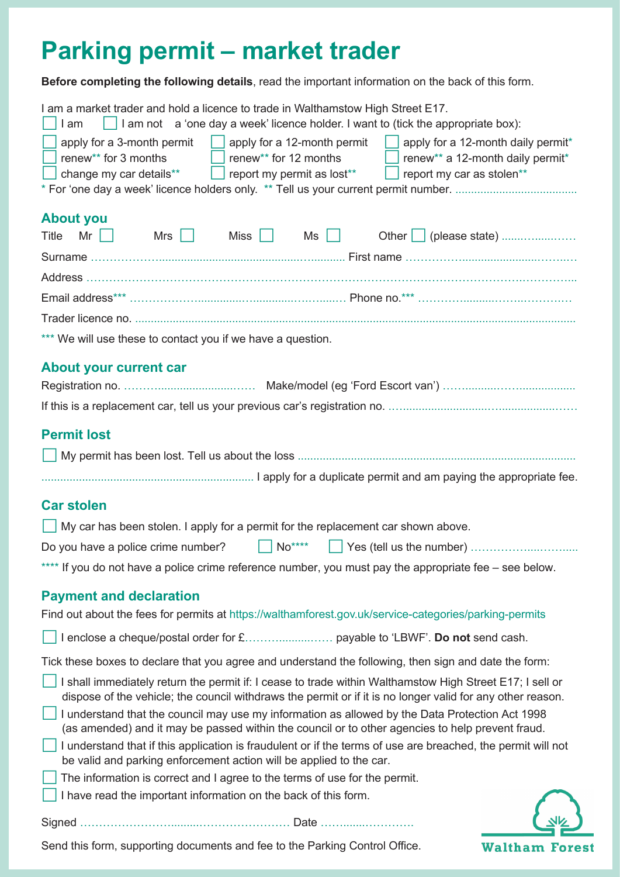# **Parking permit – market trader**

**Before completing the following details**, read the important information on the back of this form.

| I am a market trader and hold a licence to trade in Walthamstow High Street E17.<br>$\Box$ I am $\Box$ I am not a 'one day a week' licence holder. I want to (tick the appropriate box):<br>apply for a 3-month permit $\Box$ apply for a 12-month permit $\Box$ apply for a 12-month daily permit*<br>□ renew** for 3 months strategy and renew** for 12 months strategy and renew** a 12-month daily permit*<br>$\Box$ change my car details** $\Box$ report my permit as lost** $\Box$ report my car as stolen** |
|---------------------------------------------------------------------------------------------------------------------------------------------------------------------------------------------------------------------------------------------------------------------------------------------------------------------------------------------------------------------------------------------------------------------------------------------------------------------------------------------------------------------|
| <b>About you</b>                                                                                                                                                                                                                                                                                                                                                                                                                                                                                                    |
| Other   (please state)                                                                                                                                                                                                                                                                                                                                                                                                                                                                                              |
|                                                                                                                                                                                                                                                                                                                                                                                                                                                                                                                     |
|                                                                                                                                                                                                                                                                                                                                                                                                                                                                                                                     |
|                                                                                                                                                                                                                                                                                                                                                                                                                                                                                                                     |
|                                                                                                                                                                                                                                                                                                                                                                                                                                                                                                                     |
| *** We will use these to contact you if we have a question.                                                                                                                                                                                                                                                                                                                                                                                                                                                         |
| About your current car                                                                                                                                                                                                                                                                                                                                                                                                                                                                                              |
|                                                                                                                                                                                                                                                                                                                                                                                                                                                                                                                     |
|                                                                                                                                                                                                                                                                                                                                                                                                                                                                                                                     |
| <b>Permit lost</b>                                                                                                                                                                                                                                                                                                                                                                                                                                                                                                  |
|                                                                                                                                                                                                                                                                                                                                                                                                                                                                                                                     |
|                                                                                                                                                                                                                                                                                                                                                                                                                                                                                                                     |
|                                                                                                                                                                                                                                                                                                                                                                                                                                                                                                                     |
| <b>Car stolen</b>                                                                                                                                                                                                                                                                                                                                                                                                                                                                                                   |
| $\Box$ My car has been stolen. I apply for a permit for the replacement car shown above.                                                                                                                                                                                                                                                                                                                                                                                                                            |
|                                                                                                                                                                                                                                                                                                                                                                                                                                                                                                                     |
| **** If you do not have a police crime reference number, you must pay the appropriate fee – see below.                                                                                                                                                                                                                                                                                                                                                                                                              |
| <b>Payment and declaration</b>                                                                                                                                                                                                                                                                                                                                                                                                                                                                                      |
| Find out about the fees for permits at https://walthamforest.gov.uk/service-categories/parking-permits                                                                                                                                                                                                                                                                                                                                                                                                              |
|                                                                                                                                                                                                                                                                                                                                                                                                                                                                                                                     |
| Tick these boxes to declare that you agree and understand the following, then sign and date the form:                                                                                                                                                                                                                                                                                                                                                                                                               |
| I shall immediately return the permit if: I cease to trade within Walthamstow High Street E17; I sell or<br>dispose of the vehicle; the council withdraws the permit or if it is no longer valid for any other reason.                                                                                                                                                                                                                                                                                              |
| I understand that the council may use my information as allowed by the Data Protection Act 1998<br>(as amended) and it may be passed within the council or to other agencies to help prevent fraud.                                                                                                                                                                                                                                                                                                                 |
| I understand that if this application is fraudulent or if the terms of use are breached, the permit will not<br>be valid and parking enforcement action will be applied to the car.                                                                                                                                                                                                                                                                                                                                 |
| The information is correct and I agree to the terms of use for the permit.                                                                                                                                                                                                                                                                                                                                                                                                                                          |
| I have read the important information on the back of this form.                                                                                                                                                                                                                                                                                                                                                                                                                                                     |
|                                                                                                                                                                                                                                                                                                                                                                                                                                                                                                                     |

**Waltham Forest** 

Send this form, supporting documents and fee to the Parking Control Office.